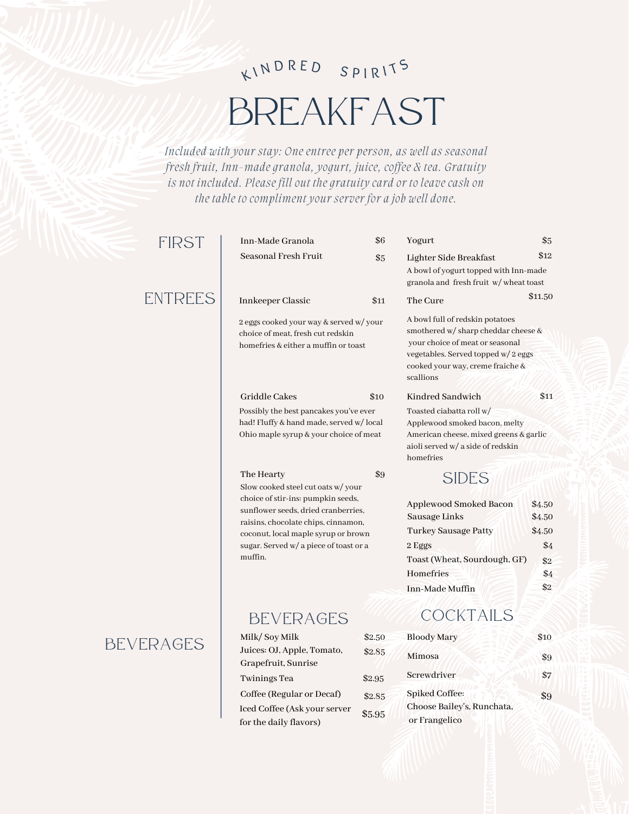### KINDRED SPIRITS

## BREAKFAST

*Included with your stay: One entree per person, as well as seasonal fresh fruit, Inn-made granola, yogurt, juice, coffee & tea. Gratuity is not included. Please fill out the gratuity card or to leave cash on the table to compliment your server for a job well done.*

#### FIRST

### ENTREES

### BEVERAGES

m

| Inn-Made Granola                                                                                                                                                                                                                                                        | \$6              | Yogurt                                                                                                                                                   |
|-------------------------------------------------------------------------------------------------------------------------------------------------------------------------------------------------------------------------------------------------------------------------|------------------|----------------------------------------------------------------------------------------------------------------------------------------------------------|
| Seasonal Fresh Fruit                                                                                                                                                                                                                                                    | \$5              | Lighter Side Breakfast<br>A bowl of yogurt topped y<br>granola and fresh fruit w                                                                         |
| Innkeeper Classic                                                                                                                                                                                                                                                       | \$11             | The Cure                                                                                                                                                 |
| 2 eggs cooked your way & served w/ your<br>choice of meat, fresh cut redskin<br>homefries & either a muffin or toast                                                                                                                                                    |                  | A bowl full of redskin pot<br>smothered w/ sharp ched<br>your choice of meat or se<br>vegetables. Served topped<br>cooked your way, creme f<br>scallions |
| Griddle Cakes                                                                                                                                                                                                                                                           | \$10             | Kindred Sandwich                                                                                                                                         |
| Possibly the best pancakes you've ever<br>had! Fluffy & hand made, served w/ local<br>Ohio maple syrup & your choice of meat                                                                                                                                            |                  | Toasted ciabatta roll w/<br>Applewood smoked bacor<br>American cheese, mixed g<br>aioli served w/ a side of re<br>homefries                              |
| \$9<br>The Hearty<br>Slow cooked steel cut oats w/ your<br>choice of stir-ins: pumpkin seeds,<br>sunflower seeds, dried cranberries,<br>raisins, chocolate chips, cinnamon,<br>coconut, local maple syrup or brown<br>sugar. Served w/ a piece of toast or a<br>muffin. |                  | <b>SIDES</b>                                                                                                                                             |
|                                                                                                                                                                                                                                                                         |                  | Applewood Smoked Ba<br>Sausage Links<br>Turkey Sausage Patty<br>2 Eggs<br>Toast (Wheat, Sourdou<br>Homefries<br>Inn-Made Muffin                          |
| <b>BEVERAGES</b>                                                                                                                                                                                                                                                        |                  | COCKTAIL                                                                                                                                                 |
| Milk/Soy Milk                                                                                                                                                                                                                                                           | \$2.50           | <b>Bloody Mary</b>                                                                                                                                       |
| Juices: OJ, Apple, Tomato,<br>Grapefruit, Sunrise                                                                                                                                                                                                                       | \$2.85           | Mimosa                                                                                                                                                   |
| <b>Twinings Tea</b>                                                                                                                                                                                                                                                     | \$2.95           | Screwdriver                                                                                                                                              |
| Coffee (Regular or Decaf)<br>Iced Coffee (Ask your server<br>for the daily flavors)                                                                                                                                                                                     | \$2.85<br>\$5.95 | <b>Spiked Coffee:</b><br>Choose Bailey's, Runch<br>or Frangelico                                                                                         |
|                                                                                                                                                                                                                                                                         |                  |                                                                                                                                                          |

#### andwich of redskin potatoes w/ sharp cheddar cheese & e of meat or seasonal Served topped w/2 eggs r way, creme fraiche & ogurt topped with Inn-made fresh fruit w/ wheat toast batta roll w/ smoked bacon, melty heese, mixed greens & garlic w/ a side of redskin \$11.50 **\$11** SIDES

\$5

\$12

| Applewood Smoked Bacon       | \$4.50 |
|------------------------------|--------|
| Sausage Links                | \$4.50 |
| Turkey Sausage Patty         | \$4.50 |
| 2 Eggs                       | \$4    |
| Toast (Wheat, Sourdough, GF) | \$2    |
| Homefries                    | \$4    |
| Inn-Made Muffin              | \$2    |

### CKTAILS

| <b>Bloody Mary</b>                                  | \$10 |
|-----------------------------------------------------|------|
| Mimosa                                              | \$9  |
| Screwdriver                                         | \$7  |
| <b>Spiked Coffee:</b><br>Choose Bailey's, Runchata, | \$9  |
| or Frangelico                                       |      |